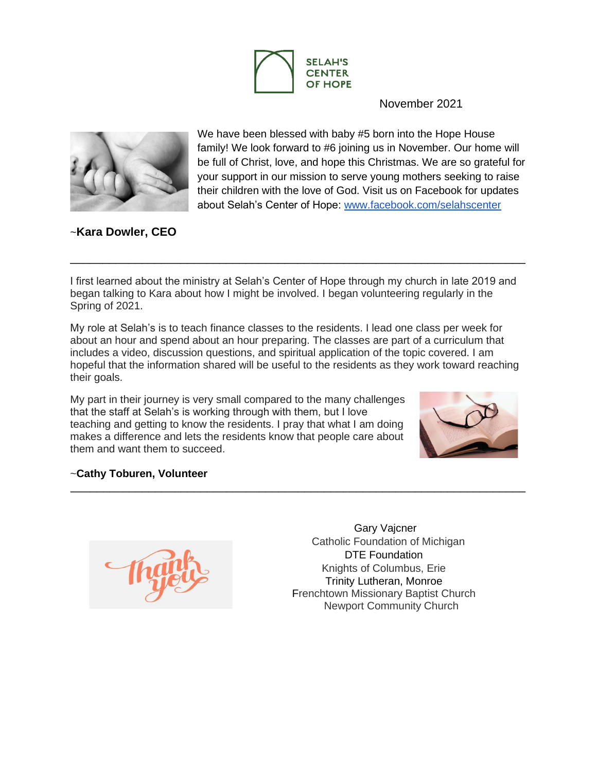

November 2021



We have been blessed with baby #5 born into the Hope House family! We look forward to #6 joining us in November. Our home will be full of Christ, love, and hope this Christmas. We are so grateful for your support in our mission to serve young mothers seeking to raise their children with the love of God. Visit us on Facebook for updates about Selah's Center of Hope: [www.facebook.com/selahscenter](http://www.facebook.com/selahscenter)

~**Kara Dowler, CEO**

I first learned about the ministry at Selah's Center of Hope through my church in late 2019 and began talking to Kara about how I might be involved. I began volunteering regularly in the Spring of 2021.

\_\_\_\_\_\_\_\_\_\_\_\_\_\_\_\_\_\_\_\_\_\_\_\_\_\_\_\_\_\_\_\_\_\_\_\_\_\_\_\_\_\_\_\_\_\_\_\_\_\_\_\_\_\_\_\_\_\_\_\_\_\_\_\_\_\_\_\_\_\_

My role at Selah's is to teach finance classes to the residents. I lead one class per week for about an hour and spend about an hour preparing. The classes are part of a curriculum that includes a video, discussion questions, and spiritual application of the topic covered. I am hopeful that the information shared will be useful to the residents as they work toward reaching their goals.

\_\_\_\_\_\_\_\_\_\_\_\_\_\_\_\_\_\_\_\_\_\_\_\_\_\_\_\_\_\_\_\_\_\_\_\_\_\_\_\_\_\_\_\_\_\_\_\_\_\_\_\_\_\_\_\_\_\_\_\_\_\_\_\_\_\_\_\_\_\_

My part in their journey is very small compared to the many challenges that the staff at Selah's is working through with them, but I love teaching and getting to know the residents. I pray that what I am doing makes a difference and lets the residents know that people care about them and want them to succeed.



## ~**Cathy Toburen, Volunteer**



Gary Vajcner Catholic Foundation of Michigan DTE Foundation Knights of Columbus, Erie Trinity Lutheran, Monroe Frenchtown Missionary Baptist Church Newport Community Church